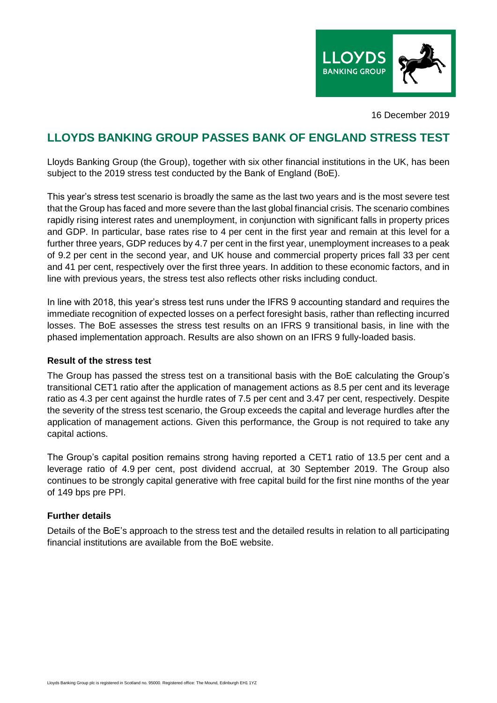

16 December 2019

## **LLOYDS BANKING GROUP PASSES BANK OF ENGLAND STRESS TEST**

Lloyds Banking Group (the Group), together with six other financial institutions in the UK, has been subject to the 2019 stress test conducted by the Bank of England (BoE).

This year's stress test scenario is broadly the same as the last two years and is the most severe test that the Group has faced and more severe than the last global financial crisis. The scenario combines rapidly rising interest rates and unemployment, in conjunction with significant falls in property prices and GDP. In particular, base rates rise to 4 per cent in the first year and remain at this level for a further three years, GDP reduces by 4.7 per cent in the first year, unemployment increases to a peak of 9.2 per cent in the second year, and UK house and commercial property prices fall 33 per cent and 41 per cent, respectively over the first three years. In addition to these economic factors, and in line with previous years, the stress test also reflects other risks including conduct.

In line with 2018, this year's stress test runs under the IFRS 9 accounting standard and requires the immediate recognition of expected losses on a perfect foresight basis, rather than reflecting incurred losses. The BoE assesses the stress test results on an IFRS 9 transitional basis, in line with the phased implementation approach. Results are also shown on an IFRS 9 fully-loaded basis.

## **Result of the stress test**

The Group has passed the stress test on a transitional basis with the BoE calculating the Group's transitional CET1 ratio after the application of management actions as 8.5 per cent and its leverage ratio as 4.3 per cent against the hurdle rates of 7.5 per cent and 3.47 per cent, respectively. Despite the severity of the stress test scenario, the Group exceeds the capital and leverage hurdles after the application of management actions. Given this performance, the Group is not required to take any capital actions.

The Group's capital position remains strong having reported a CET1 ratio of 13.5 per cent and a leverage ratio of 4.9 per cent, post dividend accrual, at 30 September 2019. The Group also continues to be strongly capital generative with free capital build for the first nine months of the year of 149 bps pre PPI.

## **Further details**

Details of the BoE's approach to the stress test and the detailed results in relation to all participating financial institutions are available from the BoE website.